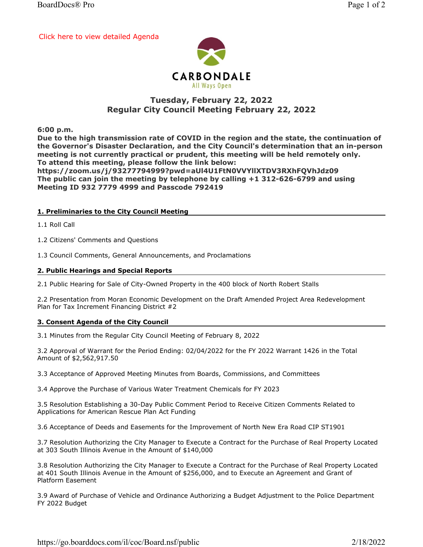[Click here to view detailed Agenda](https://go.boarddocs.com/il/coc/Board.nsf/public#)



# Tuesday, February 22, 2022 Regular City Council Meeting February 22, 2022

6:00 p.m.

Due to the high transmission rate of COVID in the region and the state, the continuation of the Governor's Disaster Declaration, and the City Council's determination that an in-person meeting is not currently practical or prudent, this meeting will be held remotely only. To attend this meeting, please follow the link below: https://zoom.us/j/93277794999?pwd=aUl4U1FtN0VVYllXTDV3RXhFQVhJdz09 The public can join the meeting by telephone by calling +1 312-626-6799 and using

Meeting ID 932 7779 4999 and Passcode 792419

### 1. Preliminaries to the City Council Meeting

1.1 Roll Call

1.2 Citizens' Comments and Questions

1.3 Council Comments, General Announcements, and Proclamations

#### 2. Public Hearings and Special Reports

2.1 Public Hearing for Sale of City-Owned Property in the 400 block of North Robert Stalls

2.2 Presentation from Moran Economic Development on the Draft Amended Project Area Redevelopment Plan for Tax Increment Financing District #2

## 3. Consent Agenda of the City Council

3.1 Minutes from the Regular City Council Meeting of February 8, 2022

3.2 Approval of Warrant for the Period Ending: 02/04/2022 for the FY 2022 Warrant 1426 in the Total Amount of \$2,562,917.50

3.3 Acceptance of Approved Meeting Minutes from Boards, Commissions, and Committees

3.4 Approve the Purchase of Various Water Treatment Chemicals for FY 2023

3.5 Resolution Establishing a 30-Day Public Comment Period to Receive Citizen Comments Related to Applications for American Rescue Plan Act Funding

3.6 Acceptance of Deeds and Easements for the Improvement of North New Era Road CIP ST1901

3.7 Resolution Authorizing the City Manager to Execute a Contract for the Purchase of Real Property Located at 303 South Illinois Avenue in the Amount of \$140,000

3.8 Resolution Authorizing the City Manager to Execute a Contract for the Purchase of Real Property Located at 401 South Illinois Avenue in the Amount of \$256,000, and to Execute an Agreement and Grant of Platform Easement

3.9 Award of Purchase of Vehicle and Ordinance Authorizing a Budget Adjustment to the Police Department FY 2022 Budget